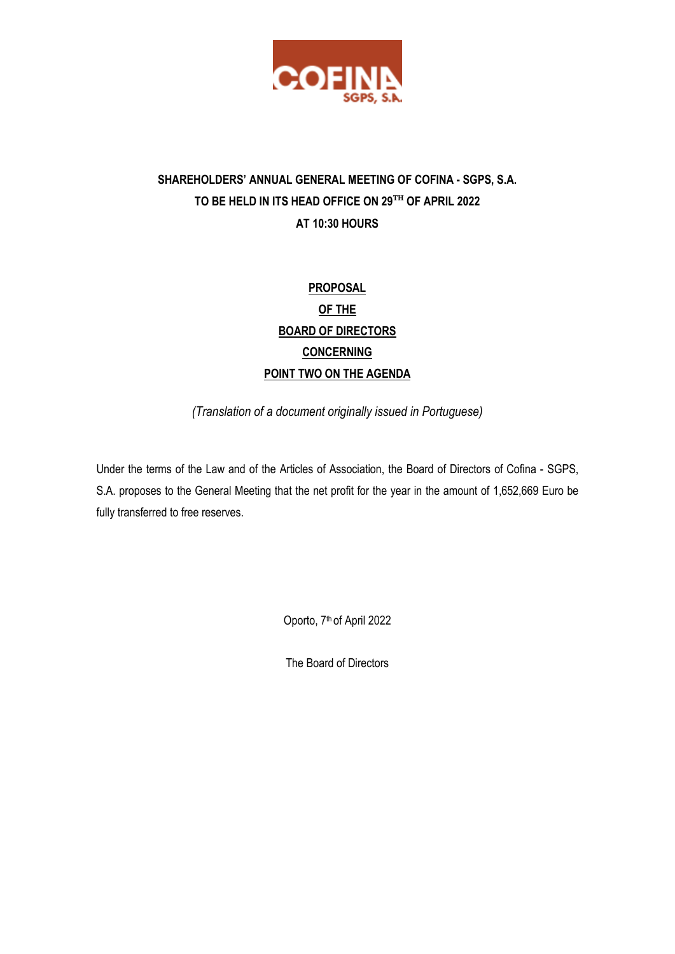

## **SHAREHOLDERS' ANNUAL GENERAL MEETING OF COFINA - SGPS, S.A. TO BE HELD IN ITS HEAD OFFICE ON 29**TH **OF APRIL 2022 AT 10:30 HOURS**

# **PROPOSAL OF THE BOARD OF DIRECTORS CONCERNING POINT TWO ON THE AGENDA**

*(Translation of a document originally issued in Portuguese)*

Under the terms of the Law and of the Articles of Association, the Board of Directors of Cofina - SGPS, S.A. proposes to the General Meeting that the net profit for the year in the amount of 1,652,669 Euro be fully transferred to free reserves.

Oporto, 7<sup>th</sup> of April 2022

The Board of Directors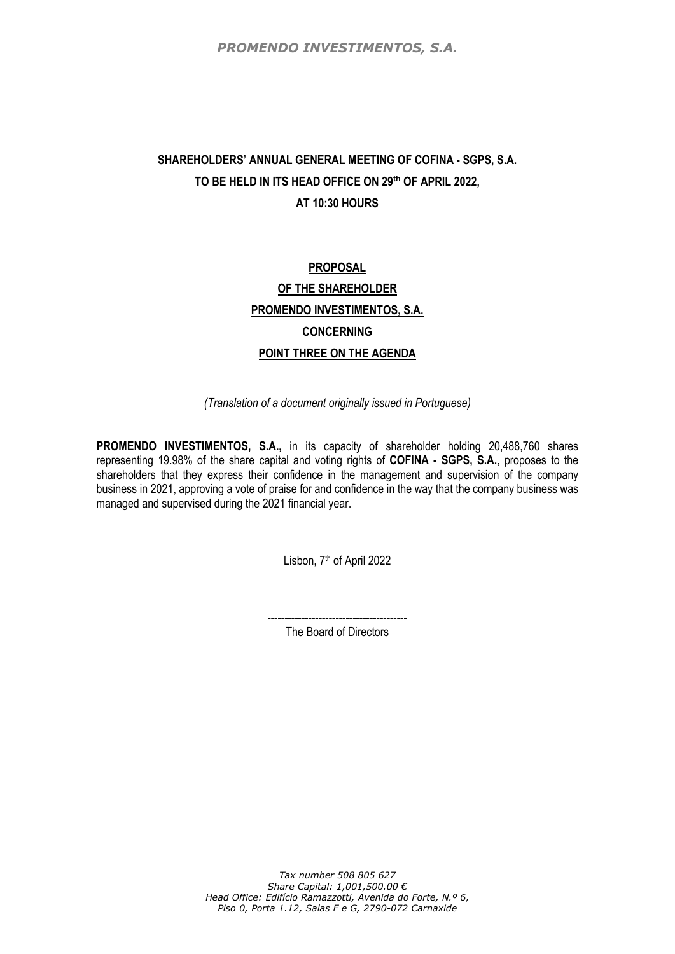*PROMENDO INVESTIMENTOS, S.A.*

## **SHAREHOLDERS' ANNUAL GENERAL MEETING OF COFINA - SGPS, S.A. TO BE HELD IN ITS HEAD OFFICE ON 29th OF APRIL 2022, AT 10:30 HOURS**

# **PROPOSAL OF THE SHAREHOLDER PROMENDO INVESTIMENTOS, S.A. CONCERNING POINT THREE ON THE AGENDA**

*(Translation of a document originally issued in Portuguese)*

**PROMENDO INVESTIMENTOS, S.A.,** in its capacity of shareholder holding 20,488,760 shares representing 19.98% of the share capital and voting rights of **COFINA - SGPS, S.A.**, proposes to the shareholders that they express their confidence in the management and supervision of the company business in 2021, approving a vote of praise for and confidence in the way that the company business was managed and supervised during the 2021 financial year.

Lisbon, 7<sup>th</sup> of April 2022

----------------------------------------- The Board of Directors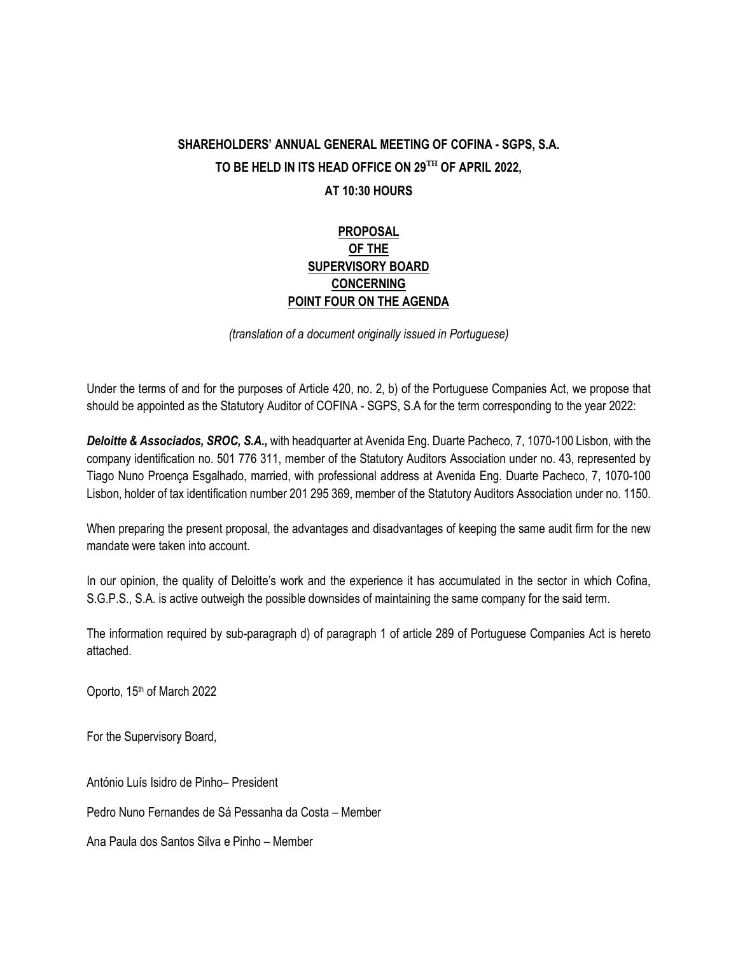### **SHAREHOLDERS' ANNUAL GENERAL MEETING OF COFINA - SGPS, S.A. TO BE HELD IN ITS HEAD OFFICE ON 29**TH **OF APRIL 2022, AT 10:30 HOURS**

#### **PROPOSAL OF THE SUPERVISORY BOARD CONCERNING POINT FOUR ON THE AGENDA**

*(translation of a document originally issued in Portuguese)*

Under the terms of and for the purposes of Article 420, no. 2, b) of the Portuguese Companies Act, we propose that should be appointed as the Statutory Auditor of COFINA - SGPS, S.A for the term corresponding to the year 2022:

*Deloitte & Associados, SROC, S.A.,* with headquarter at Avenida Eng. Duarte Pacheco, 7, 1070-100 Lisbon, with the company identification no. 501 776 311, member of the Statutory Auditors Association under no. 43, represented by Tiago Nuno Proença Esgalhado, married, with professional address at Avenida Eng. Duarte Pacheco, 7, 1070-100 Lisbon, holder of tax identification number 201 295 369, member of the Statutory Auditors Association under no. 1150.

When preparing the present proposal, the advantages and disadvantages of keeping the same audit firm for the new mandate were taken into account.

In our opinion, the quality of Deloitte's work and the experience it has accumulated in the sector in which Cofina, S.G.P.S., S.A. is active outweigh the possible downsides of maintaining the same company for the said term.

The information required by sub-paragraph d) of paragraph 1 of article 289 of Portuguese Companies Act is hereto attached.

Oporto, 15<sup>th</sup> of March 2022

For the Supervisory Board,

António Luís Isidro de Pinho– President

Pedro Nuno Fernandes de Sá Pessanha da Costa – Member

Ana Paula dos Santos Silva e Pinho – Member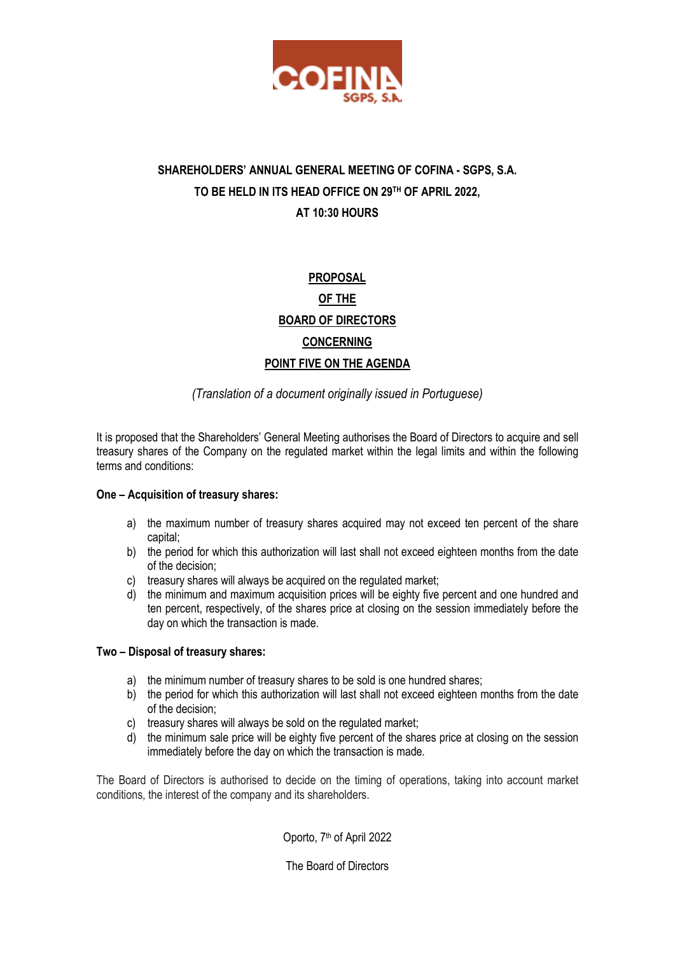

## **SHAREHOLDERS' ANNUAL GENERAL MEETING OF COFINA - SGPS, S.A. TO BE HELD IN ITS HEAD OFFICE ON 29TH OF APRIL 2022, AT 10:30 HOURS**

# **PROPOSAL OF THE BOARD OF DIRECTORS CONCERNING POINT FIVE ON THE AGENDA**

#### *(Translation of a document originally issued in Portuguese)*

It is proposed that the Shareholders' General Meeting authorises the Board of Directors to acquire and sell treasury shares of the Company on the regulated market within the legal limits and within the following terms and conditions:

#### **One – Acquisition of treasury shares:**

- a) the maximum number of treasury shares acquired may not exceed ten percent of the share capital;
- b) the period for which this authorization will last shall not exceed eighteen months from the date of the decision;
- c) treasury shares will always be acquired on the regulated market;
- d) the minimum and maximum acquisition prices will be eighty five percent and one hundred and ten percent, respectively, of the shares price at closing on the session immediately before the day on which the transaction is made.

#### **Two – Disposal of treasury shares:**

- a) the minimum number of treasury shares to be sold is one hundred shares;
- b) the period for which this authorization will last shall not exceed eighteen months from the date of the decision;
- c) treasury shares will always be sold on the regulated market;
- d) the minimum sale price will be eighty five percent of the shares price at closing on the session immediately before the day on which the transaction is made.

The Board of Directors is authorised to decide on the timing of operations, taking into account market conditions, the interest of the company and its shareholders.

Oporto, 7<sup>th</sup> of April 2022

The Board of Directors